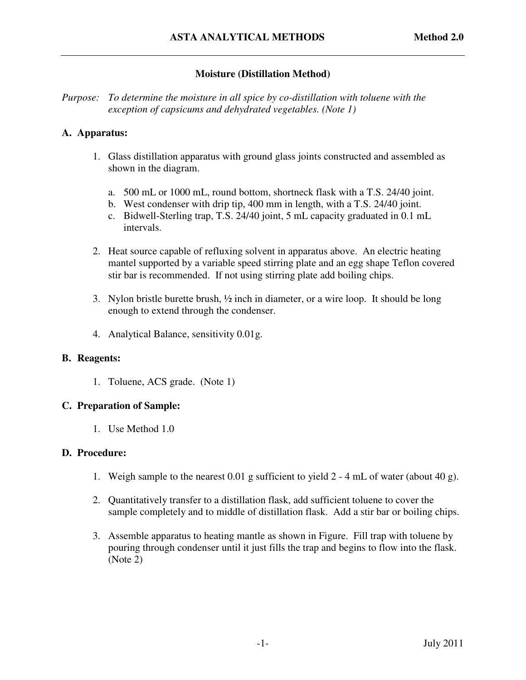# **Moisture (Distillation Method)**

*Purpose: To determine the moisture in all spice by co-distillation with toluene with the exception of capsicums and dehydrated vegetables. (Note 1)* 

### **A. Apparatus:**

- 1. Glass distillation apparatus with ground glass joints constructed and assembled as shown in the diagram.
	- a. 500 mL or 1000 mL, round bottom, shortneck flask with a T.S. 24/40 joint.
	- b. West condenser with drip tip, 400 mm in length, with a T.S. 24/40 joint.
	- c. Bidwell-Sterling trap, T.S. 24/40 joint, 5 mL capacity graduated in 0.1 mL intervals.
- 2. Heat source capable of refluxing solvent in apparatus above. An electric heating mantel supported by a variable speed stirring plate and an egg shape Teflon covered stir bar is recommended. If not using stirring plate add boiling chips.
- 3. Nylon bristle burette brush,  $\frac{1}{2}$  inch in diameter, or a wire loop. It should be long enough to extend through the condenser.
- 4. Analytical Balance, sensitivity 0.01g.

### **B. Reagents:**

1. Toluene, ACS grade. (Note 1)

### **C. Preparation of Sample:**

1. Use Method 1.0

### **D. Procedure:**

- 1. Weigh sample to the nearest 0.01 g sufficient to yield 2 4 mL of water (about 40 g).
- 2. Quantitatively transfer to a distillation flask, add sufficient toluene to cover the sample completely and to middle of distillation flask. Add a stir bar or boiling chips.
- 3. Assemble apparatus to heating mantle as shown in Figure. Fill trap with toluene by pouring through condenser until it just fills the trap and begins to flow into the flask. (Note 2)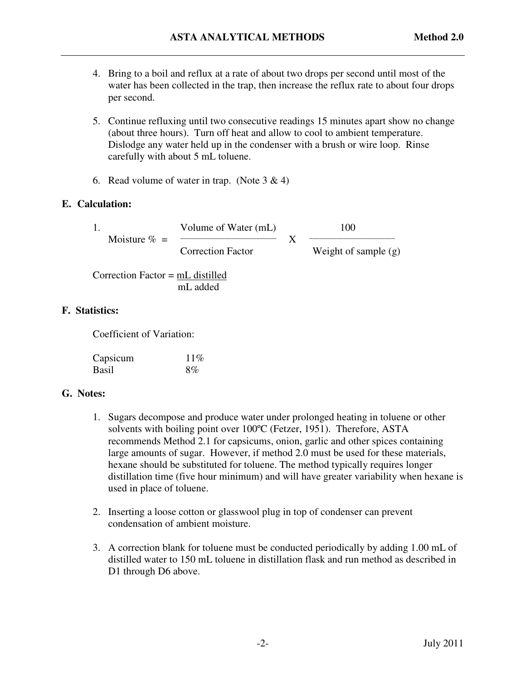- 4. Bring to a boil and reflux at a rate of about two drops per second until most of the water has been collected in the trap, then increase the reflux rate to about four drops per second.
- 5. Continue refluxing until two consecutive readings 15 minutes apart show no change (about three hours). Turn off heat and allow to cool to ambient temperature. Dislodge any water held up in the condenser with a brush or wire loop. Rinse carefully with about 5 mL toluene.
- 6. Read volume of water in trap. (Note  $3 \& 4$ )

### **E. Calculation:**

|  | - |  |
|--|---|--|
|  |   |  |

Moisture  $\% =$   $\frac{\ }{\ }$ 

Volume of Water (mL) 100 Correction Factor Weight of sample (g)

 Correction Factor = mL distilled mL added

## **F. Statistics:**

Coefficient of Variation:

| Capsicum | $11\%$ |
|----------|--------|
| Basil    | 8%     |

### **G. Notes:**

- 1. Sugars decompose and produce water under prolonged heating in toluene or other solvents with boiling point over 100ºC (Fetzer, 1951). Therefore, ASTA recommends Method 2.1 for capsicums, onion, garlic and other spices containing large amounts of sugar. However, if method 2.0 must be used for these materials, hexane should be substituted for toluene. The method typically requires longer distillation time (five hour minimum) and will have greater variability when hexane is used in place of toluene.
- 2. Inserting a loose cotton or glasswool plug in top of condenser can prevent condensation of ambient moisture.
- 3. A correction blank for toluene must be conducted periodically by adding 1.00 mL of distilled water to 150 mL toluene in distillation flask and run method as described in D1 through D6 above.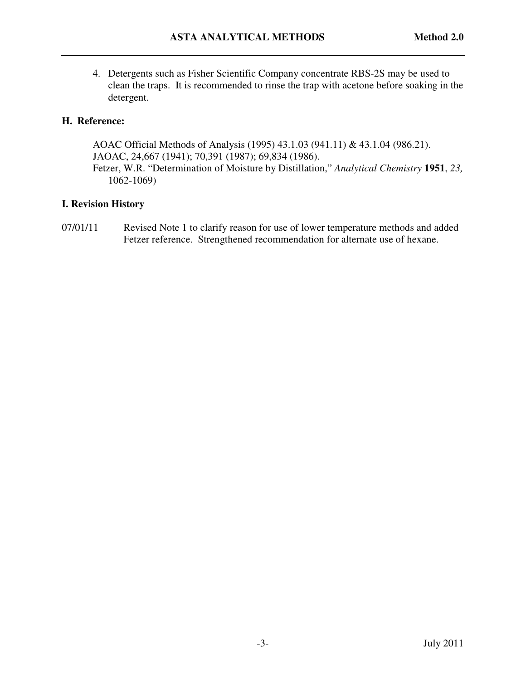4. Detergents such as Fisher Scientific Company concentrate RBS-2S may be used to clean the traps. It is recommended to rinse the trap with acetone before soaking in the detergent.

### **H. Reference:**

 AOAC Official Methods of Analysis (1995) 43.1.03 (941.11) & 43.1.04 (986.21). JAOAC, 24,667 (1941); 70,391 (1987); 69,834 (1986). Fetzer, W.R. "Determination of Moisture by Distillation," *Analytical Chemistry* **1951**, *23,* 1062-1069)

### **I. Revision History**

07/01/11 Revised Note 1 to clarify reason for use of lower temperature methods and added Fetzer reference. Strengthened recommendation for alternate use of hexane.